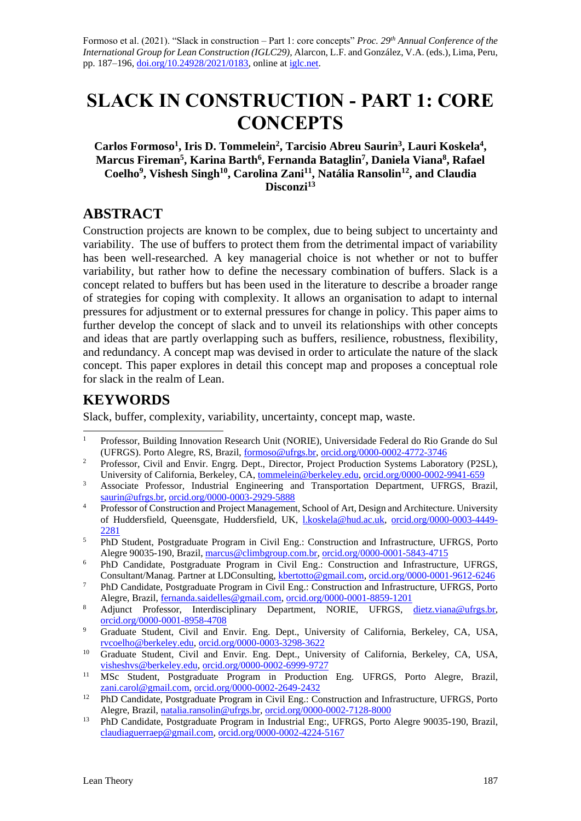Formoso et al. (2021). "Slack in construction – Part 1: core concepts" *Proc. 29th Annual Conference of the International Group for Lean Construction (IGLC29),* Alarcon, L.F. and González, V.A. (eds.)*,* Lima, Peru, pp. 187–196, [doi.org/10.24928/2021/0183,](https://doi.org/10.24928/2021/0183) online a[t iglc.net.](http://iglc.net/)

# **SLACK IN CONSTRUCTION - PART 1: CORE CONCEPTS**

**Carlos Formoso<sup>1</sup> , Iris D. Tommelein<sup>2</sup> , Tarcisio Abreu Saurin<sup>3</sup> , Lauri Koskela<sup>4</sup> , Marcus Fireman<sup>5</sup> , Karina Barth<sup>6</sup> , Fernanda Bataglin<sup>7</sup> , Daniela Viana<sup>8</sup> , Rafael Coelho<sup>9</sup> , Vishesh Singh<sup>10</sup>, Carolina Zani<sup>11</sup>, Natália Ransolin<sup>12</sup> , and Claudia Disconzi<sup>13</sup>**

## **ABSTRACT**

Construction projects are known to be complex, due to being subject to uncertainty and variability. The use of buffers to protect them from the detrimental impact of variability has been well-researched. A key managerial choice is not whether or not to buffer variability, but rather how to define the necessary combination of buffers. Slack is a concept related to buffers but has been used in the literature to describe a broader range of strategies for coping with complexity. It allows an organisation to adapt to internal pressures for adjustment or to external pressures for change in policy. This paper aims to further develop the concept of slack and to unveil its relationships with other concepts and ideas that are partly overlapping such as buffers, resilience, robustness, flexibility, and redundancy. A concept map was devised in order to articulate the nature of the slack concept. This paper explores in detail this concept map and proposes a conceptual role for slack in the realm of Lean.

# **KEYWORDS**

Slack, buffer, complexity, variability, uncertainty, concept map, waste.

- <sup>1</sup> Professor, Building Innovation Research Unit (NORIE), Universidade Federal do Rio Grande do Sul (UFRGS). Porto Alegre, RS, Brazil, [formoso@ufrgs.br,](mailto:formoso@ufrgs.br) [orcid.org/0000-0002-4772-3746](https://orcid.org/0000-0002-4772-3746)
- <sup>2</sup> Professor, Civil and Envir. Engrg. Dept., Director, Project Production Systems Laboratory (P2SL), University of California, Berkeley, CA, [tommelein@berkeley.edu,](mailto:tommelein@berkeley.edu) [orcid.org/0000-0002-9941-659](https://orcid.org/0000-0002-9941-659)
- <sup>3</sup> Associate Professor, Industrial Engineering and Transportation Department, UFRGS, Brazil, [saurin@ufrgs.br,](mailto:saurin@ufrgs.br) [orcid.org/0000-0003-2929-5888](https://orcid.org/0000-0003-2929-5888)
- <sup>4</sup> Professor of Construction and Project Management, School of Art, Design and Architecture. University of Huddersfield, Queensgate, Huddersfield, UK, [l.koskela@hud.ac.uk,](mailto:l.koskela@hud.ac.uk) [orcid.org/0000-0003-4449-](https://orcid.org/0000-0003-4449-2281) [2281](https://orcid.org/0000-0003-4449-2281)
- <sup>5</sup> PhD Student, Postgraduate Program in Civil Eng.: Construction and Infrastructure, UFRGS, Porto Alegre 90035-190, Brazil[, marcus@climbgroup.com.br,](mailto:marcus@climbgroup.com.br) [orcid.org/0000-0001-5843-4715](https://orcid.org/0000-0001-5843-4715)
- <sup>6</sup> PhD Candidate, Postgraduate Program in Civil Eng.: Construction and Infrastructure, UFRGS, Consultant/Manag. Partner at LDConsulting, [kbertotto@gmail.com,](mailto:kbertotto@gmail.com) [orcid.org/0000-0001-9612-6246](https://orcid.org/0000-0001-9612-6246)
- <sup>7</sup> PhD Candidate, Postgraduate Program in Civil Eng.: Construction and Infrastructure, UFRGS, Porto Alegre, Brazil[, fernanda.saidelles@gmail.com,](mailto:fernanda.saidelles@gmail.com) [orcid.org/0000-0001-8859-1201](https://orcid.org/0000-0001-8859-1201)
- 8 Adjunct Professor, Interdisciplinary Department, NORIE, UFRGS, [dietz.viana@ufrgs.br,](mailto:dietz.viana@ufrgs.br) [orcid.org/0000-0001-8958-4708](https://orcid.org/0000-0001-8958-4708)
- <sup>9</sup> Graduate Student, Civil and Envir. Eng. Dept., University of California, Berkeley, CA, USA, [rvcoelho@berkeley.edu,](mailto:rvcoelho@berkeley.edu) [orcid.org/0000-0003-3298-3622](https://orcid.org/0000-0003-3298-3622)
- <sup>10</sup> Graduate Student, Civil and Envir. Eng. Dept., University of California, Berkeley, CA, USA, [visheshvs@berkeley.edu,](mailto:visheshvs@berkeley.edu) [orcid.org/0000-0002-6999-9727](https://orcid.org/0000-0002-6999-9727)
- <sup>11</sup> MSc Student, Postgraduate Program in Production Eng. UFRGS, Porto Alegre, Brazil, [zani.carol@gmail.com,](mailto:zani.carol@gmail.com) [orcid.org/0000-0002-2649-2432](https://orcid.org/0000-0002-2649-2432)
- <sup>12</sup> PhD Candidate, Postgraduate Program in Civil Eng.: Construction and Infrastructure, UFRGS, Porto Alegre, Brazil[, natalia.ransolin@ufrgs.br,](mailto:natalia.ransolin@ufrgs.br) [orcid.org/0000-0002-7128-8000](https://orcid.org/0000-0002-7128-8000)
- <sup>13</sup> PhD Candidate, Postgraduate Program in Industrial Eng:, UFRGS, Porto Alegre 90035-190, Brazil, [claudiaguerraep@gmail.com,](mailto:claudiaguerraep@gmail.com) [orcid.org/0000-0002-4224-5167](https://orcid.org/0000-0002-4224-5167)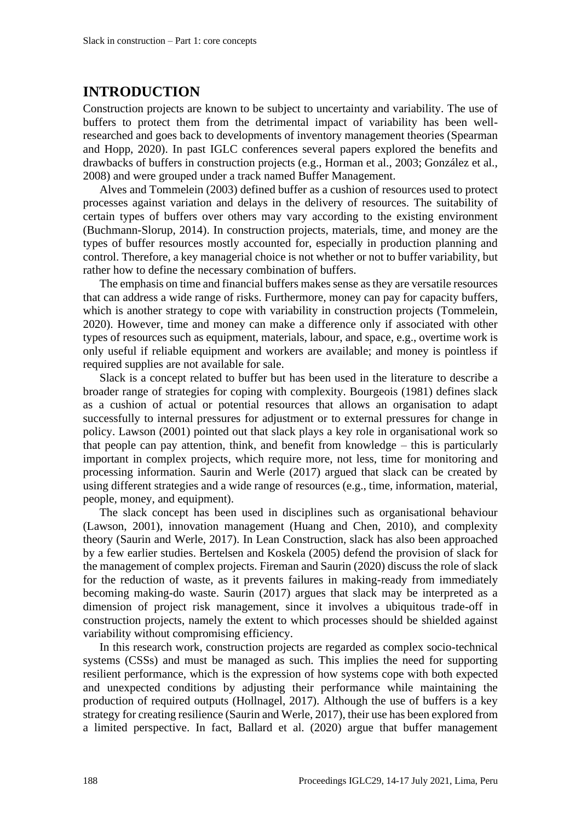#### **INTRODUCTION**

Construction projects are known to be subject to uncertainty and variability. The use of buffers to protect them from the detrimental impact of variability has been wellresearched and goes back to developments of inventory management theories (Spearman and Hopp, 2020). In past IGLC conferences several papers explored the benefits and drawbacks of buffers in construction projects (e.g., Horman et al., 2003; González et al., 2008) and were grouped under a track named Buffer Management.

Alves and Tommelein (2003) defined buffer as a cushion of resources used to protect processes against variation and delays in the delivery of resources. The suitability of certain types of buffers over others may vary according to the existing environment (Buchmann-Slorup, 2014). In construction projects, materials, time, and money are the types of buffer resources mostly accounted for, especially in production planning and control. Therefore, a key managerial choice is not whether or not to buffer variability, but rather how to define the necessary combination of buffers.

The emphasis on time and financial buffers makes sense as they are versatile resources that can address a wide range of risks. Furthermore, money can pay for capacity buffers, which is another strategy to cope with variability in construction projects (Tommelein, 2020). However, time and money can make a difference only if associated with other types of resources such as equipment, materials, labour, and space, e.g., overtime work is only useful if reliable equipment and workers are available; and money is pointless if required supplies are not available for sale.

Slack is a concept related to buffer but has been used in the literature to describe a broader range of strategies for coping with complexity. Bourgeois (1981) defines slack as a cushion of actual or potential resources that allows an organisation to adapt successfully to internal pressures for adjustment or to external pressures for change in policy. Lawson (2001) pointed out that slack plays a key role in organisational work so that people can pay attention, think, and benefit from knowledge – this is particularly important in complex projects, which require more, not less, time for monitoring and processing information. Saurin and Werle (2017) argued that slack can be created by using different strategies and a wide range of resources (e.g., time, information, material, people, money, and equipment).

The slack concept has been used in disciplines such as organisational behaviour (Lawson, 2001), innovation management (Huang and Chen, 2010), and complexity theory (Saurin and Werle, 2017). In Lean Construction, slack has also been approached by a few earlier studies. Bertelsen and Koskela (2005) defend the provision of slack for the management of complex projects. Fireman and Saurin (2020) discuss the role of slack for the reduction of waste, as it prevents failures in making-ready from immediately becoming making-do waste. Saurin (2017) argues that slack may be interpreted as a dimension of project risk management, since it involves a ubiquitous trade-off in construction projects, namely the extent to which processes should be shielded against variability without compromising efficiency.

In this research work, construction projects are regarded as complex socio-technical systems (CSSs) and must be managed as such. This implies the need for supporting resilient performance, which is the expression of how systems cope with both expected and unexpected conditions by adjusting their performance while maintaining the production of required outputs (Hollnagel, 2017). Although the use of buffers is a key strategy for creating resilience (Saurin and Werle, 2017), their use has been explored from a limited perspective. In fact, Ballard et al. (2020) argue that buffer management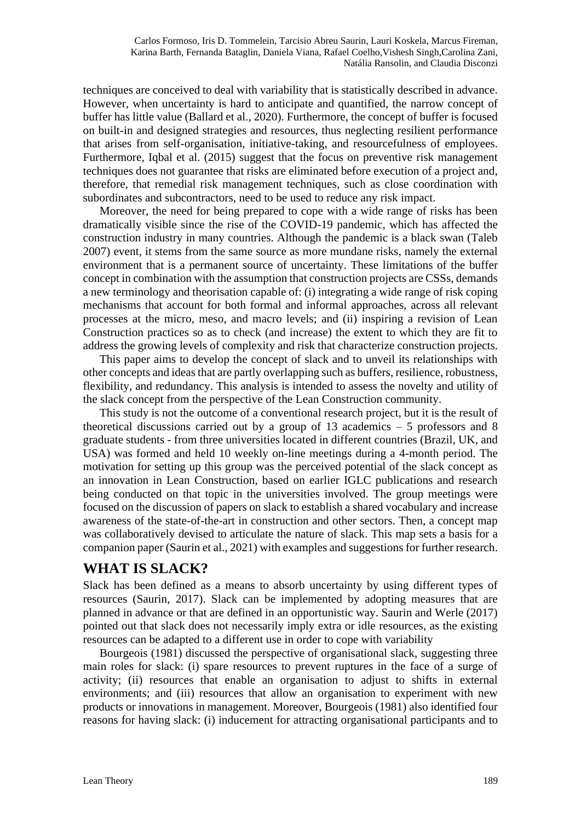techniques are conceived to deal with variability that is statistically described in advance. However, when uncertainty is hard to anticipate and quantified, the narrow concept of buffer has little value (Ballard et al., 2020). Furthermore, the concept of buffer is focused on built-in and designed strategies and resources, thus neglecting resilient performance that arises from self-organisation, initiative-taking, and resourcefulness of employees. Furthermore, Iqbal et al. (2015) suggest that the focus on preventive risk management techniques does not guarantee that risks are eliminated before execution of a project and, therefore, that remedial risk management techniques, such as close coordination with subordinates and subcontractors, need to be used to reduce any risk impact.

Moreover, the need for being prepared to cope with a wide range of risks has been dramatically visible since the rise of the COVID-19 pandemic, which has affected the construction industry in many countries. Although the pandemic is a black swan (Taleb 2007) event, it stems from the same source as more mundane risks, namely the external environment that is a permanent source of uncertainty. These limitations of the buffer concept in combination with the assumption that construction projects are CSSs, demands a new terminology and theorisation capable of: (i) integrating a wide range of risk coping mechanisms that account for both formal and informal approaches, across all relevant processes at the micro, meso, and macro levels; and (ii) inspiring a revision of Lean Construction practices so as to check (and increase) the extent to which they are fit to address the growing levels of complexity and risk that characterize construction projects.

This paper aims to develop the concept of slack and to unveil its relationships with other concepts and ideas that are partly overlapping such as buffers, resilience, robustness, flexibility, and redundancy. This analysis is intended to assess the novelty and utility of the slack concept from the perspective of the Lean Construction community.

This study is not the outcome of a conventional research project, but it is the result of theoretical discussions carried out by a group of 13 academics  $-5$  professors and 8 graduate students - from three universities located in different countries (Brazil, UK, and USA) was formed and held 10 weekly on-line meetings during a 4-month period. The motivation for setting up this group was the perceived potential of the slack concept as an innovation in Lean Construction, based on earlier IGLC publications and research being conducted on that topic in the universities involved. The group meetings were focused on the discussion of papers on slack to establish a shared vocabulary and increase awareness of the state-of-the-art in construction and other sectors. Then, a concept map was collaboratively devised to articulate the nature of slack. This map sets a basis for a companion paper (Saurin et al., 2021) with examples and suggestions for further research.

# **WHAT IS SLACK?**

Slack has been defined as a means to absorb uncertainty by using different types of resources (Saurin, 2017). Slack can be implemented by adopting measures that are planned in advance or that are defined in an opportunistic way. Saurin and Werle (2017) pointed out that slack does not necessarily imply extra or idle resources, as the existing resources can be adapted to a different use in order to cope with variability

Bourgeois (1981) discussed the perspective of organisational slack, suggesting three main roles for slack: (i) spare resources to prevent ruptures in the face of a surge of activity; (ii) resources that enable an organisation to adjust to shifts in external environments; and (iii) resources that allow an organisation to experiment with new products or innovations in management. Moreover, Bourgeois (1981) also identified four reasons for having slack: (i) inducement for attracting organisational participants and to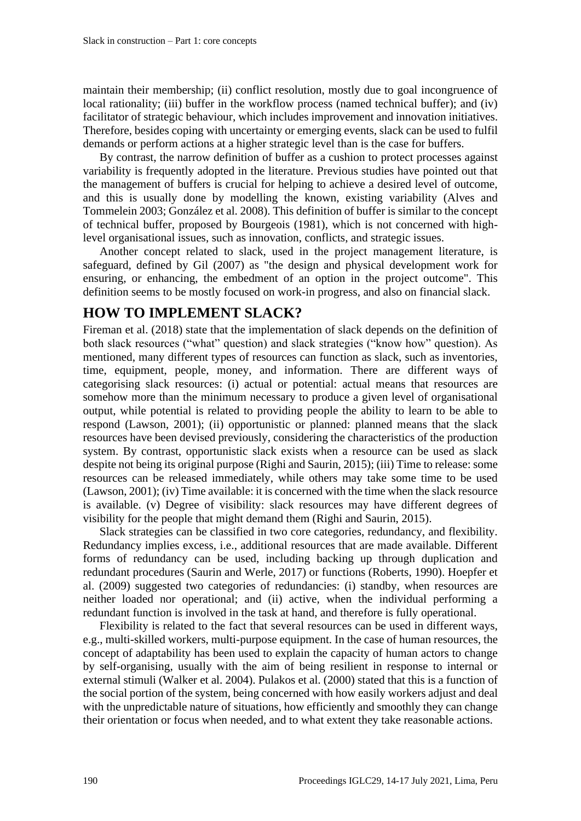maintain their membership; (ii) conflict resolution, mostly due to goal incongruence of local rationality; (iii) buffer in the workflow process (named technical buffer); and (iv) facilitator of strategic behaviour, which includes improvement and innovation initiatives. Therefore, besides coping with uncertainty or emerging events, slack can be used to fulfil demands or perform actions at a higher strategic level than is the case for buffers.

By contrast, the narrow definition of buffer as a cushion to protect processes against variability is frequently adopted in the literature. Previous studies have pointed out that the management of buffers is crucial for helping to achieve a desired level of outcome, and this is usually done by modelling the known, existing variability (Alves and Tommelein 2003; González et al. 2008). This definition of buffer is similar to the concept of technical buffer, proposed by Bourgeois (1981), which is not concerned with highlevel organisational issues, such as innovation, conflicts, and strategic issues.

Another concept related to slack, used in the project management literature, is safeguard, defined by Gil (2007) as "the design and physical development work for ensuring, or enhancing, the embedment of an option in the project outcome". This definition seems to be mostly focused on work-in progress, and also on financial slack.

### **HOW TO IMPLEMENT SLACK?**

Fireman et al. (2018) state that the implementation of slack depends on the definition of both slack resources ("what" question) and slack strategies ("know how" question). As mentioned, many different types of resources can function as slack, such as inventories, time, equipment, people, money, and information. There are different ways of categorising slack resources: (i) actual or potential: actual means that resources are somehow more than the minimum necessary to produce a given level of organisational output, while potential is related to providing people the ability to learn to be able to respond (Lawson, 2001); (ii) opportunistic or planned: planned means that the slack resources have been devised previously, considering the characteristics of the production system. By contrast, opportunistic slack exists when a resource can be used as slack despite not being its original purpose (Righi and Saurin, 2015); (iii) Time to release: some resources can be released immediately, while others may take some time to be used (Lawson, 2001); (iv) Time available: it is concerned with the time when the slack resource is available. (v) Degree of visibility: slack resources may have different degrees of visibility for the people that might demand them (Righi and Saurin, 2015).

Slack strategies can be classified in two core categories, redundancy, and flexibility. Redundancy implies excess, i.e., additional resources that are made available. Different forms of redundancy can be used, including backing up through duplication and redundant procedures (Saurin and Werle, 2017) or functions (Roberts, 1990). Hoepfer et al. (2009) suggested two categories of redundancies: (i) standby, when resources are neither loaded nor operational; and (ii) active, when the individual performing a redundant function is involved in the task at hand, and therefore is fully operational.

Flexibility is related to the fact that several resources can be used in different ways, e.g., multi-skilled workers, multi-purpose equipment. In the case of human resources, the concept of adaptability has been used to explain the capacity of human actors to change by self-organising, usually with the aim of being resilient in response to internal or external stimuli (Walker et al. 2004). Pulakos et al. (2000) stated that this is a function of the social portion of the system, being concerned with how easily workers adjust and deal with the unpredictable nature of situations, how efficiently and smoothly they can change their orientation or focus when needed, and to what extent they take reasonable actions.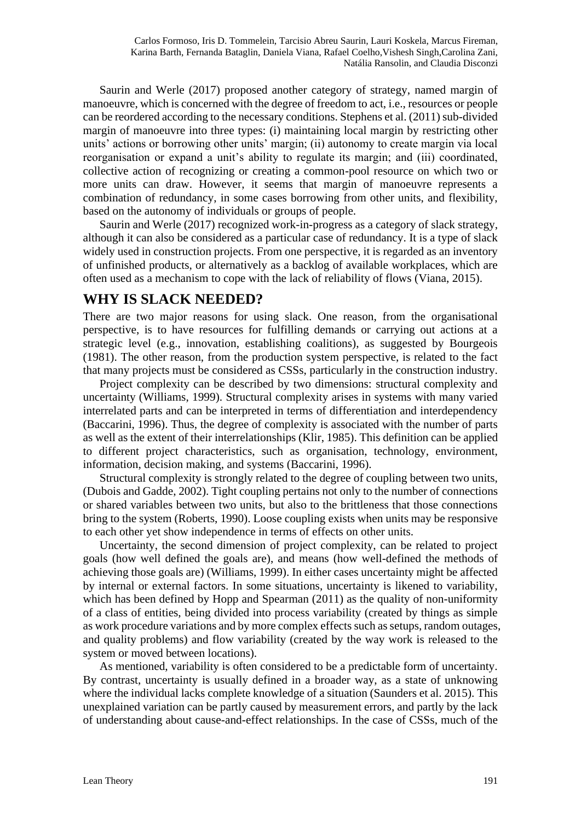Saurin and Werle (2017) proposed another category of strategy, named margin of manoeuvre, which is concerned with the degree of freedom to act, i.e., resources or people can be reordered according to the necessary conditions. Stephens et al. (2011) sub-divided margin of manoeuvre into three types: (i) maintaining local margin by restricting other units' actions or borrowing other units' margin; (ii) autonomy to create margin via local reorganisation or expand a unit's ability to regulate its margin; and (iii) coordinated, collective action of recognizing or creating a common-pool resource on which two or more units can draw. However, it seems that margin of manoeuvre represents a combination of redundancy, in some cases borrowing from other units, and flexibility, based on the autonomy of individuals or groups of people.

Saurin and Werle (2017) recognized work-in-progress as a category of slack strategy, although it can also be considered as a particular case of redundancy. It is a type of slack widely used in construction projects. From one perspective, it is regarded as an inventory of unfinished products, or alternatively as a backlog of available workplaces, which are often used as a mechanism to cope with the lack of reliability of flows (Viana, 2015).

#### **WHY IS SLACK NEEDED?**

There are two major reasons for using slack. One reason, from the organisational perspective, is to have resources for fulfilling demands or carrying out actions at a strategic level (e.g., innovation, establishing coalitions), as suggested by Bourgeois (1981). The other reason, from the production system perspective, is related to the fact that many projects must be considered as CSSs, particularly in the construction industry.

Project complexity can be described by two dimensions: structural complexity and uncertainty (Williams, 1999). Structural complexity arises in systems with many varied interrelated parts and can be interpreted in terms of differentiation and interdependency (Baccarini, 1996). Thus, the degree of complexity is associated with the number of parts as well as the extent of their interrelationships (Klir, 1985). This definition can be applied to different project characteristics, such as organisation, technology, environment, information, decision making, and systems (Baccarini, 1996).

Structural complexity is strongly related to the degree of coupling between two units, (Dubois and Gadde, 2002). Tight coupling pertains not only to the number of connections or shared variables between two units, but also to the brittleness that those connections bring to the system (Roberts, 1990). Loose coupling exists when units may be responsive to each other yet show independence in terms of effects on other units.

Uncertainty, the second dimension of project complexity, can be related to project goals (how well defined the goals are), and means (how well-defined the methods of achieving those goals are) (Williams, 1999). In either cases uncertainty might be affected by internal or external factors. In some situations, uncertainty is likened to variability, which has been defined by Hopp and Spearman (2011) as the quality of non-uniformity of a class of entities, being divided into process variability (created by things as simple as work procedure variations and by more complex effects such as setups, random outages, and quality problems) and flow variability (created by the way work is released to the system or moved between locations).

As mentioned, variability is often considered to be a predictable form of uncertainty. By contrast, uncertainty is usually defined in a broader way, as a state of unknowing where the individual lacks complete knowledge of a situation (Saunders et al. 2015). This unexplained variation can be partly caused by measurement errors, and partly by the lack of understanding about cause-and-effect relationships. In the case of CSSs, much of the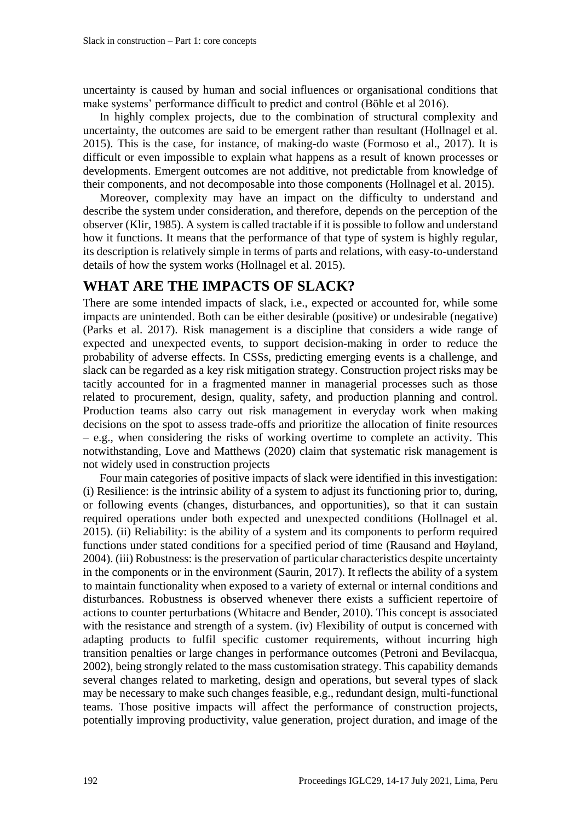uncertainty is caused by human and social influences or organisational conditions that make systems' performance difficult to predict and control (Böhle et al 2016).

In highly complex projects, due to the combination of structural complexity and uncertainty, the outcomes are said to be emergent rather than resultant (Hollnagel et al. 2015). This is the case, for instance, of making-do waste (Formoso et al., 2017). It is difficult or even impossible to explain what happens as a result of known processes or developments. Emergent outcomes are not additive, not predictable from knowledge of their components, and not decomposable into those components (Hollnagel et al. 2015).

Moreover, complexity may have an impact on the difficulty to understand and describe the system under consideration, and therefore, depends on the perception of the observer (Klir, 1985). A system is called tractable if it is possible to follow and understand how it functions. It means that the performance of that type of system is highly regular, its description is relatively simple in terms of parts and relations, with easy-to-understand details of how the system works (Hollnagel et al. 2015).

#### **WHAT ARE THE IMPACTS OF SLACK?**

There are some intended impacts of slack, i.e., expected or accounted for, while some impacts are unintended. Both can be either desirable (positive) or undesirable (negative) (Parks et al. 2017). Risk management is a discipline that considers a wide range of expected and unexpected events, to support decision-making in order to reduce the probability of adverse effects. In CSSs, predicting emerging events is a challenge, and slack can be regarded as a key risk mitigation strategy. Construction project risks may be tacitly accounted for in a fragmented manner in managerial processes such as those related to procurement, design, quality, safety, and production planning and control. Production teams also carry out risk management in everyday work when making decisions on the spot to assess trade-offs and prioritize the allocation of finite resources – e.g., when considering the risks of working overtime to complete an activity. This notwithstanding, Love and Matthews (2020) claim that systematic risk management is not widely used in construction projects

Four main categories of positive impacts of slack were identified in this investigation: (i) Resilience: is the intrinsic ability of a system to adjust its functioning prior to, during, or following events (changes, disturbances, and opportunities), so that it can sustain required operations under both expected and unexpected conditions (Hollnagel et al. 2015). (ii) Reliability: is the ability of a system and its components to perform required functions under stated conditions for a specified period of time (Rausand and Høyland, 2004). (iii) Robustness: is the preservation of particular characteristics despite uncertainty in the components or in the environment (Saurin, 2017). It reflects the ability of a system to maintain functionality when exposed to a variety of external or internal conditions and disturbances. Robustness is observed whenever there exists a sufficient repertoire of actions to counter perturbations (Whitacre and Bender, 2010). This concept is associated with the resistance and strength of a system. (iv) Flexibility of output is concerned with adapting products to fulfil specific customer requirements, without incurring high transition penalties or large changes in performance outcomes (Petroni and Bevilacqua, 2002), being strongly related to the mass customisation strategy. This capability demands several changes related to marketing, design and operations, but several types of slack may be necessary to make such changes feasible, e.g., redundant design, multi-functional teams. Those positive impacts will affect the performance of construction projects, potentially improving productivity, value generation, project duration, and image of the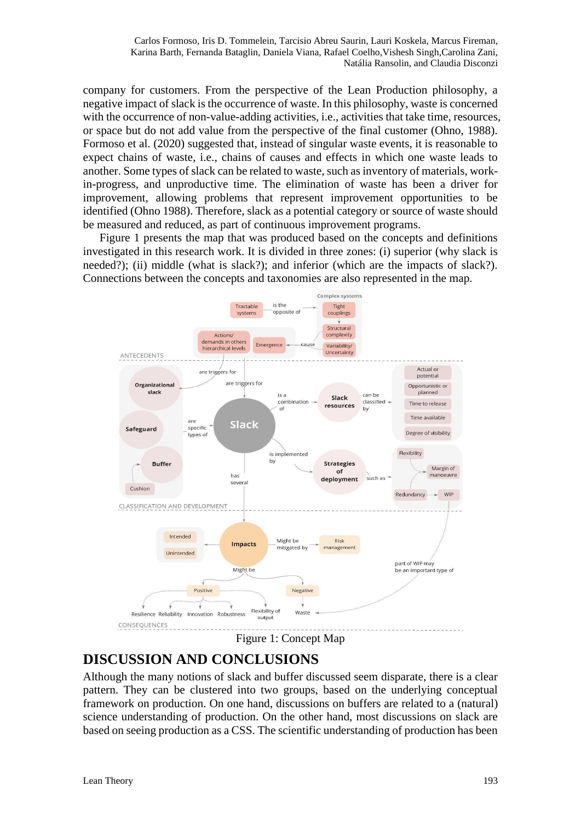company for customers. From the perspective of the Lean Production philosophy, a negative impact of slack is the occurrence of waste. In this philosophy, waste is concerned with the occurrence of non-value-adding activities, i.e., activities that take time, resources, or space but do not add value from the perspective of the final customer (Ohno, 1988). Formoso et al. (2020) suggested that, instead of singular waste events, it is reasonable to expect chains of waste, i.e., chains of causes and effects in which one waste leads to another. Some types of slack can be related to waste, such as inventory of materials, workin-progress, and unproductive time. The elimination of waste has been a driver for improvement, allowing problems that represent improvement opportunities to be identified (Ohno 1988). Therefore, slack as a potential category or source of waste should be measured and reduced, as part of continuous improvement programs.

Figure 1 presents the map that was produced based on the concepts and definitions investigated in this research work. It is divided in three zones: (i) superior (why slack is needed?); (ii) middle (what is slack?); and inferior (which are the impacts of slack?). Connections between the concepts and taxonomies are also represented in the map.



Figure 1: Concept Map

# **DISCUSSION AND CONCLUSIONS**

Although the many notions of slack and buffer discussed seem disparate, there is a clear pattern. They can be clustered into two groups, based on the underlying conceptual framework on production. On one hand, discussions on buffers are related to a (natural) science understanding of production. On the other hand, most discussions on slack are based on seeing production as a CSS. The scientific understanding of production has been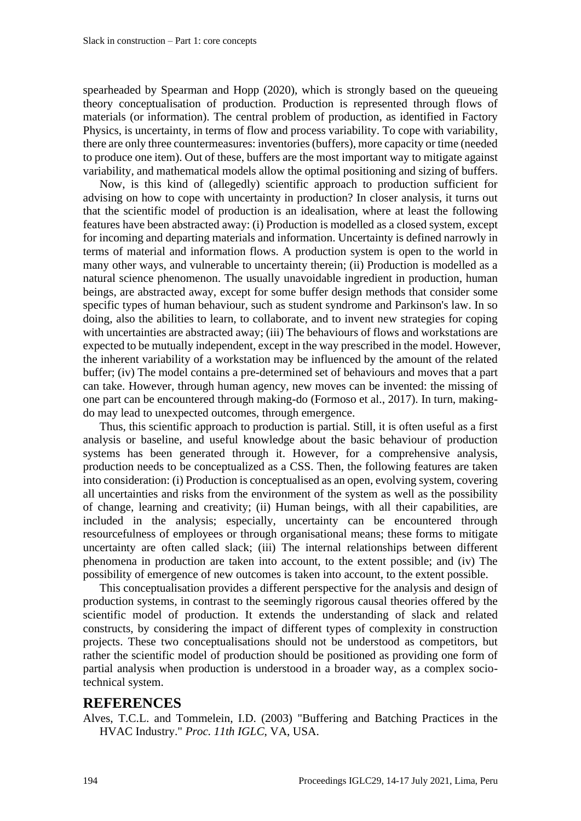spearheaded by Spearman and Hopp (2020), which is strongly based on the queueing theory conceptualisation of production. Production is represented through flows of materials (or information). The central problem of production, as identified in Factory Physics, is uncertainty, in terms of flow and process variability. To cope with variability, there are only three countermeasures: inventories (buffers), more capacity or time (needed to produce one item). Out of these, buffers are the most important way to mitigate against variability, and mathematical models allow the optimal positioning and sizing of buffers.

Now, is this kind of (allegedly) scientific approach to production sufficient for advising on how to cope with uncertainty in production? In closer analysis, it turns out that the scientific model of production is an idealisation, where at least the following features have been abstracted away: (i) Production is modelled as a closed system, except for incoming and departing materials and information. Uncertainty is defined narrowly in terms of material and information flows. A production system is open to the world in many other ways, and vulnerable to uncertainty therein; (ii) Production is modelled as a natural science phenomenon. The usually unavoidable ingredient in production, human beings, are abstracted away, except for some buffer design methods that consider some specific types of human behaviour, such as student syndrome and Parkinson's law. In so doing, also the abilities to learn, to collaborate, and to invent new strategies for coping with uncertainties are abstracted away; (iii) The behaviours of flows and workstations are expected to be mutually independent, except in the way prescribed in the model. However, the inherent variability of a workstation may be influenced by the amount of the related buffer; (iv) The model contains a pre-determined set of behaviours and moves that a part can take. However, through human agency, new moves can be invented: the missing of one part can be encountered through making-do (Formoso et al., 2017). In turn, makingdo may lead to unexpected outcomes, through emergence.

Thus, this scientific approach to production is partial. Still, it is often useful as a first analysis or baseline, and useful knowledge about the basic behaviour of production systems has been generated through it. However, for a comprehensive analysis, production needs to be conceptualized as a CSS. Then, the following features are taken into consideration: (i) Production is conceptualised as an open, evolving system, covering all uncertainties and risks from the environment of the system as well as the possibility of change, learning and creativity; (ii) Human beings, with all their capabilities, are included in the analysis; especially, uncertainty can be encountered through resourcefulness of employees or through organisational means; these forms to mitigate uncertainty are often called slack; (iii) The internal relationships between different phenomena in production are taken into account, to the extent possible; and (iv) The possibility of emergence of new outcomes is taken into account, to the extent possible.

This conceptualisation provides a different perspective for the analysis and design of production systems, in contrast to the seemingly rigorous causal theories offered by the scientific model of production. It extends the understanding of slack and related constructs, by considering the impact of different types of complexity in construction projects. These two conceptualisations should not be understood as competitors, but rather the scientific model of production should be positioned as providing one form of partial analysis when production is understood in a broader way, as a complex sociotechnical system.

#### **REFERENCES**

Alves, T.C.L. and Tommelein, I.D. (2003) "Buffering and Batching Practices in the HVAC Industry." *Proc. 11th IGLC*, VA, USA.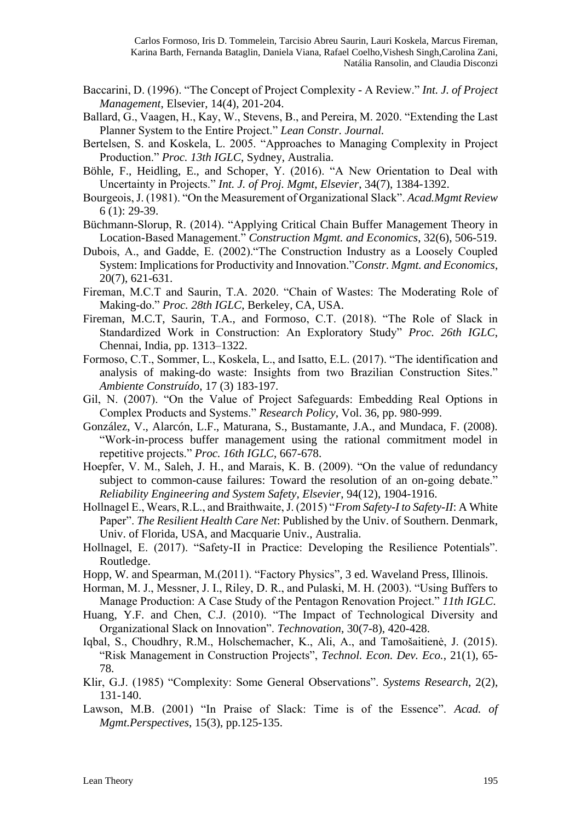- Baccarini, D. (1996). "The Concept of Project Complexity A Review." *Int. J. of Project Management*, Elsevier, 14(4), 201-204.
- Ballard, G., Vaagen, H., Kay, W., Stevens, B., and Pereira, M. 2020. "Extending the Last Planner System to the Entire Project." *Lean Constr. Journal.*
- Bertelsen, S. and Koskela, L. 2005. "Approaches to Managing Complexity in Project Production." *Proc. 13th IGLC*, Sydney, Australia.
- Böhle, F., Heidling, E., and Schoper, Y. (2016). "A New Orientation to Deal with Uncertainty in Projects." *Int. J. of Proj. Mgmt*, *Elsevier*, 34(7), 1384-1392.
- Bourgeois, J. (1981). "On the Measurement of Organizational Slack". *Acad.Mgmt Review* 6 (1): 29-39.
- Büchmann-Slorup, R. (2014). "Applying Critical Chain Buffer Management Theory in Location-Based Management." *Construction Mgmt. and Economics*, 32(6), 506-519.
- Dubois, A., and Gadde, E. (2002)."The Construction Industry as a Loosely Coupled System: Implications for Productivity and Innovation."*Constr. Mgmt. and Economics*, 20(7), 621-631.
- Fireman, M.C.T and Saurin, T.A. 2020. "Chain of Wastes: The Moderating Role of Making-do." *Proc. 28th IGLC*, Berkeley, CA, USA.
- Fireman, M.C.T, Saurin, T.A., and Formoso, C.T. (2018). "The Role of Slack in Standardized Work in Construction: An Exploratory Study" *Proc. 26th IGLC*, Chennai, India, pp. 1313–1322.
- Formoso, C.T., Sommer, L., Koskela, L., and Isatto, E.L. (2017). "The identification and analysis of making-do waste: Insights from two Brazilian Construction Sites." *Ambiente Construído*, 17 (3) 183-197.
- Gil, N. (2007). "On the Value of Project Safeguards: Embedding Real Options in Complex Products and Systems." *Research Policy*, Vol. 36, pp. 980-999.
- González, V., Alarcón, L.F., Maturana, S., Bustamante, J.A., and Mundaca, F. (2008). "Work-in-process buffer management using the rational commitment model in repetitive projects." *Proc. 16th IGLC*, 667-678.
- Hoepfer, V. M., Saleh, J. H., and Marais, K. B. (2009). "On the value of redundancy subject to common-cause failures: Toward the resolution of an on-going debate." *Reliability Engineering and System Safety, Elsevier*, 94(12), 1904-1916.
- Hollnagel E., Wears, R.L., and Braithwaite, J. (2015) "*From Safety-I to Safety-II*: A White Paper". *The Resilient Health Care Net*: Published by the Univ. of Southern. Denmark, Univ. of Florida, USA, and Macquarie Univ., Australia.
- Hollnagel, E. (2017). "Safety-II in Practice: Developing the Resilience Potentials". Routledge.
- Hopp, W. and Spearman, M.(2011). "Factory Physics", 3 ed. Waveland Press, Illinois.
- Horman, M. J., Messner, J. I., Riley, D. R., and Pulaski, M. H. (2003). "Using Buffers to Manage Production: A Case Study of the Pentagon Renovation Project." *11th IGLC*.
- Huang, Y.F. and Chen, C.J. (2010). "The Impact of Technological Diversity and Organizational Slack on Innovation". *Technovation*, 30(7-8), 420-428.
- Iqbal, S., Choudhry, R.M., Holschemacher, K., Ali, A., and Tamošaitienė, J. (2015). "Risk Management in Construction Projects", *Technol. Econ. Dev. Eco.*, 21(1), 65- 78.
- Klir, G.J. (1985) "Complexity: Some General Observations". *Systems Research*, 2(2), 131-140.
- Lawson, M.B. (2001) "In Praise of Slack: Time is of the Essence". *Acad. of Mgmt.Perspectives*, 15(3), pp.125-135.